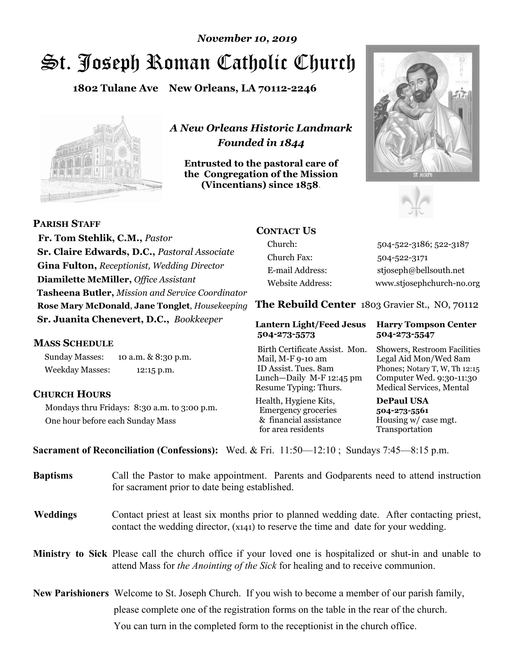# St. Joseph Roman Catholic Church *November 10, 2019*

**1802 Tulane Ave New Orleans, LA 70112-2246**



*A New Orleans Historic Landmark Founded in 1844* 

**Entrusted to the pastoral care of the Congregation of the Mission (Vincentians) since 1858**.





 **Fr. Tom Stehlik, C.M.,** *Pastor* **Sr. Claire Edwards, D.C.,** *Pastoral Associate* **Gina Fulton,** *Receptionist, Wedding Director* **Diamilette McMiller,** *Office Assistant* **Tasheena Butler,** *Mission and Service Coordinator* **Rose Mary McDonald**, **Jane Tonglet**, *Housekeeping* **Sr. Juanita Chenevert, D.C.,** *Bookkeeper* 

#### **MASS SCHEDULE**

**PARISH STAFF**

Sunday Masses: 10 a.m. & 8:30 p.m. Weekday Masses: 12:15 p.m.

#### **CHURCH HOURS**

Mondays thru Fridays: 8:30 a.m. to 3:00 p.m. One hour before each Sunday Mass

#### **CONTACT US**

Church: 504-522-3186; 522-3187 Church Fax: 504-522-3171 E-mail Address: stjoseph@bellsouth.net Website Address: www.stjosephchurch-no.org

**The Rebuild Center** 1803 Gravier St., NO, 70112

#### **Lantern Light/Feed Jesus Harry Tompson Center 504-273-5573 504-273-5547**

Birth Certificate Assist. Mon. Showers, Restroom Facilities Mail, M-F 9-10 am Legal Aid Mon/Wed 8am ID Assist. Tues. 8am Phones; Notary T, W, Th 12:15 Lunch—Daily M-F 12:45 pm Computer Wed. 9:30-11:30 Resume Typing: Thurs. Medical Services, Mental

Health, Hygiene Kits, **DePaul USA**  Emergency groceries **504-273-5561** & financial assistance Housing w/ case mgt. for area residents Transportation

**Sacrament of Reconciliation (Confessions):** Wed. & Fri. 11:50—12:10 ; Sundays 7:45—8:15 p.m.

| <b>Baptisms</b> | Call the Pastor to make appointment. Parents and Godparents need to attend instruction<br>for sacrament prior to date being established.                                                            |  |
|-----------------|-----------------------------------------------------------------------------------------------------------------------------------------------------------------------------------------------------|--|
| <b>Weddings</b> | Contact priest at least six months prior to planned wedding date. After contacting priest,<br>contact the wedding director, (x141) to reserve the time and date for your wedding.                   |  |
|                 | <b>Ministry to Sick</b> Please call the church office if your loved one is hospitalized or shut-in and unable to<br>attend Mass for the Anointing of the Sick for healing and to receive communion. |  |
|                 | New Parishioners Welcome to St. Joseph Church. If you wish to become a member of our parish family,                                                                                                 |  |
|                 | please complete one of the registration forms on the table in the rear of the church.                                                                                                               |  |
|                 | You can turn in the completed form to the reception is the church office.                                                                                                                           |  |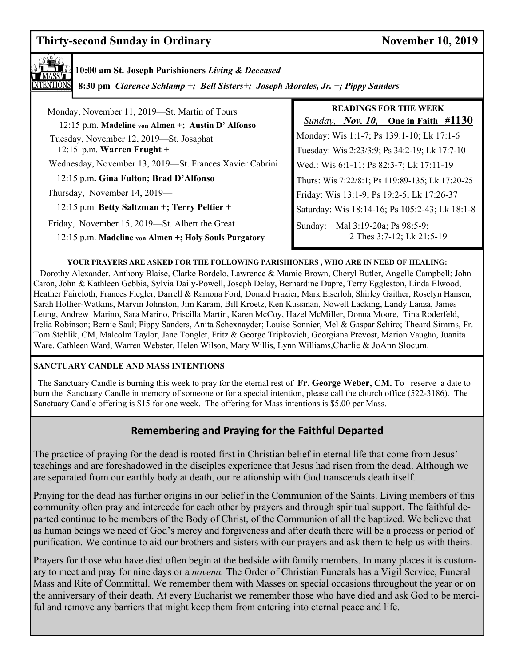### **Thirty-second Sunday in Ordinary Sunday 10, 2019**



### **10:00 am St. Joseph Parishioners** *Living & Deceased*

 **8:30 pm** *Clarence Schlamp +; Bell Sisters+; Joseph Morales, Jr. +; Pippy Sanders* 

| Monday, November 11, 2019—St. Martin of Tours                                                           | <b>READINGS FOR THE WEEK</b>                                     |
|---------------------------------------------------------------------------------------------------------|------------------------------------------------------------------|
| 12:15 p.m. Madeline von Almen +; Austin D' Alfonso                                                      | <i>Sunday, Nov. 10,</i> One in Faith $\#1130$                    |
| Tuesday, November 12, 2019-St. Josaphat                                                                 | Monday: Wis 1:1-7; Ps 139:1-10; Lk 17:1-6                        |
| 12:15 p.m. Warren Frught +                                                                              | Tuesday: Wis 2:23/3:9; Ps 34:2-19; Lk 17:7-10                    |
| Wednesday, November 13, 2019-St. Frances Xavier Cabrini                                                 | Wed.: Wis 6:1-11; Ps 82:3-7; Lk 17:11-19                         |
| 12:15 p.m. Gina Fulton; Brad D'Alfonso                                                                  | Thurs: Wis 7:22/8:1; Ps 119:89-135; Lk 17:20-25                  |
| Thursday, November 14, 2019—                                                                            | Friday: Wis 13:1-9; Ps 19:2-5; Lk 17:26-37                       |
| 12:15 p.m. Betty Saltzman +; Terry Peltier +                                                            | Saturday: Wis 18:14-16; Ps 105:2-43; Lk 18:1-8                   |
| Friday, November 15, 2019—St. Albert the Great<br>12:15 p.m. Madeline von Almen +; Holy Souls Purgatory | Mal 3:19-20a; Ps 98:5-9;<br>Sunday:<br>2 Thes 3:7-12; Lk 21:5-19 |

#### **YOUR PRAYERS ARE ASKED FOR THE FOLLOWING PARISHIONERS , WHO ARE IN NEED OF HEALING:**

 Dorothy Alexander, Anthony Blaise, Clarke Bordelo, Lawrence & Mamie Brown, Cheryl Butler, Angelle Campbell; John Caron, John & Kathleen Gebbia, Sylvia Daily-Powell, Joseph Delay, Bernardine Dupre, Terry Eggleston, Linda Elwood, Heather Faircloth, Frances Fiegler, Darrell & Ramona Ford, Donald Frazier, Mark Eiserloh, Shirley Gaither, Roselyn Hansen, Sarah Hollier-Watkins, Marvin Johnston, Jim Karam, Bill Kroetz, Ken Kussman, Nowell Lacking, Landy Lanza, James Leung, Andrew Marino, Sara Marino, Priscilla Martin, Karen McCoy, Hazel McMiller, Donna Moore, Tina Roderfeld, Irelia Robinson; Bernie Saul; Pippy Sanders, Anita Schexnayder; Louise Sonnier, Mel & Gaspar Schiro; Theard Simms, Fr. Tom Stehlik, CM, Malcolm Taylor, Jane Tonglet, Fritz & George Tripkovich, Georgiana Prevost, Marion Vaughn, Juanita Ware, Cathleen Ward, Warren Webster, Helen Wilson, Mary Willis, Lynn Williams,Charlie & JoAnn Slocum.

#### **SANCTUARY CANDLE AND MASS INTENTIONS**

 The Sanctuary Candle is burning this week to pray for the eternal rest of **Fr. George Weber, CM.** To reserve a date to burn the Sanctuary Candle in memory of someone or for a special intention, please call the church office (522-3186). The Sanctuary Candle offering is \$15 for one week. The offering for Mass intentions is \$5.00 per Mass.

#### **Remembering and Praying for the Faithful Departed**

The practice of praying for the dead is rooted first in Christian belief in eternal life that come from Jesus' teachings and are foreshadowed in the disciples experience that Jesus had risen from the dead. Although we are separated from our earthly body at death, our relationship with God transcends death itself.

Praying for the dead has further origins in our belief in the Communion of the Saints. Living members of this community often pray and intercede for each other by prayers and through spiritual support. The faithful departed continue to be members of the Body of Christ, of the Communion of all the baptized. We believe that as human beings we need of God's mercy and forgiveness and after death there will be a process or period of purification. We continue to aid our brothers and sisters with our prayers and ask them to help us with theirs.

Prayers for those who have died often begin at the bedside with family members. In many places it is customary to meet and pray for nine days or a *novena.* The Order of Christian Funerals has a Vigil Service, Funeral Mass and Rite of Committal. We remember them with Masses on special occasions throughout the year or on the anniversary of their death. At every Eucharist we remember those who have died and ask God to be merciful and remove any barriers that might keep them from entering into eternal peace and life.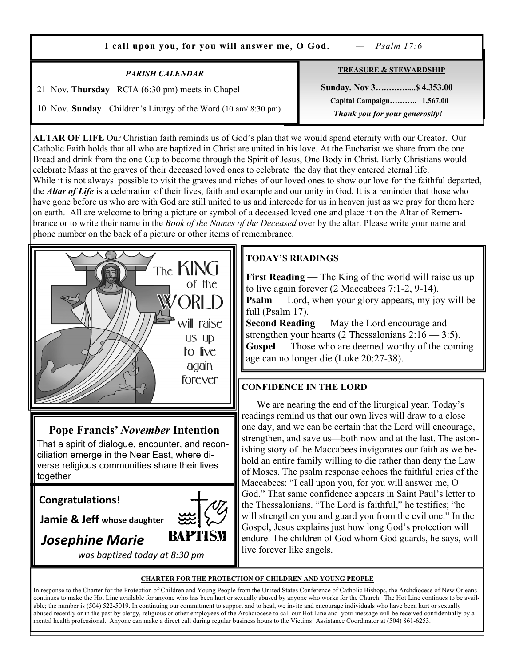| I call upon you, for you will answer me, O God.<br>$-$ Psalm 17:6                                                                          |                                                                                                                              |  |
|--------------------------------------------------------------------------------------------------------------------------------------------|------------------------------------------------------------------------------------------------------------------------------|--|
| <b>PARISH CALENDAR</b><br>21 Nov. Thursday RCIA (6:30 pm) meets in Chapel<br>10 Nov. Sunday Children's Liturgy of the Word (10 am/8:30 pm) | <b>TREASURE &amp; STEWARDSHIP</b><br>Sunday, Nov 3 \$4,353.00<br>Capital Campaign 1,567.00<br>Thank you for your generosity! |  |

**ALTAR OF LIFE** Our Christian faith reminds us of God's plan that we would spend eternity with our Creator. Our Catholic Faith holds that all who are baptized in Christ are united in his love. At the Eucharist we share from the one Bread and drink from the one Cup to become through the Spirit of Jesus, One Body in Christ. Early Christians would celebrate Mass at the graves of their deceased loved ones to celebrate the day that they entered eternal life. While it is not always possible to visit the graves and niches of our loved ones to show our love for the faithful departed, the *Altar of Life* is a celebration of their lives, faith and example and our unity in God. It is a reminder that those who have gone before us who are with God are still united to us and intercede for us in heaven just as we pray for them here on earth. All are welcome to bring a picture or symbol of a deceased loved one and place it on the Altar of Remembrance or to write their name in the *Book of the Names of the Deceased* over by the altar. Please write your name and phone number on the back of a picture or other items of remembrance.



#### **Pope Francis'** *November* **Intention**

That a spirit of dialogue, encounter, and reconciliation emerge in the Near East, where diverse religious communities share their lives together

#### **Congratulations!**

**Jamie & Jeff whose daughter**

## *Josephine Marie*

 *was baptized today at 8:30 pm*

**BAPTISM** 

#### **TODAY'S READINGS**

**First Reading** — The King of the world will raise us up to live again forever (2 Maccabees 7:1-2, 9-14). **Psalm** — Lord, when your glory appears, my joy will be full (Psalm 17).

**Second Reading** — May the Lord encourage and strengthen your hearts (2 Thessalonians 2:16 — 3:5). **Gospel** — Those who are deemed worthy of the coming age can no longer die (Luke 20:27-38).

#### **CONFIDENCE IN THE LORD**

 We are nearing the end of the liturgical year. Today's readings remind us that our own lives will draw to a close one day, and we can be certain that the Lord will encourage, strengthen, and save us—both now and at the last. The astonishing story of the Maccabees invigorates our faith as we behold an entire family willing to die rather than deny the Law of Moses. The psalm response echoes the faithful cries of the Maccabees: "I call upon you, for you will answer me, O God." That same confidence appears in Saint Paul's letter to the Thessalonians. "The Lord is faithful," he testifies; "he will strengthen you and guard you from the evil one." In the Gospel, Jesus explains just how long God's protection will endure. The children of God whom God guards, he says, will live forever like angels.

#### **CHARTER FOR THE PROTECTION OF CHILDREN AND YOUNG PEOPLE**

In response to the Charter for the Protection of Children and Young People from the United States Conference of Catholic Bishops, the Archdiocese of New Orleans continues to make the Hot Line available for anyone who has been hurt or sexually abused by anyone who works for the Church. The Hot Line continues to be available; the number is (504) 522-5019. In continuing our commitment to support and to heal, we invite and encourage individuals who have been hurt or sexually abused recently or in the past by clergy, religious or other employees of the Archdiocese to call our Hot Line and your message will be received confidentially by a mental health professional. Anyone can make a direct call during regular business hours to the Victims' Assistance Coordinator at (504) 861-6253.